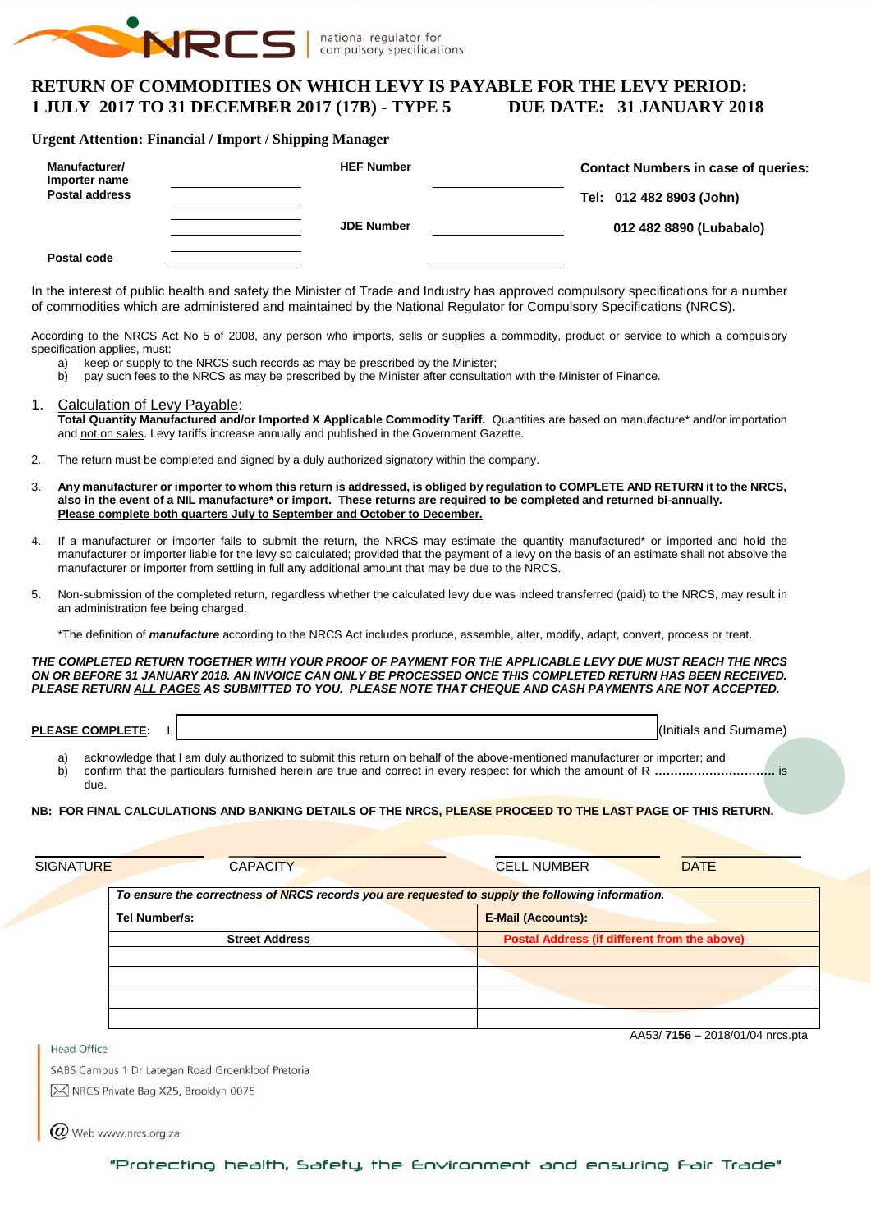

# **RETURN OF COMMODITIES ON WHICH LEVY IS PAYABLE FOR THE LEVY PERIOD: 1 JULY 2017 TO 31 DECEMBER 2017 (17B) - TYPE 5 DUE DATE: 31 JANUARY 2018**

#### **Urgent Attention: Financial / Import / Shipping Manager**

| Manufacturer/<br>Importer name<br><b>Postal address</b> | <b>HEF Number</b> | <b>Contact Numbers in case of queries:</b><br>Tel: 012 482 8903 (John) |  |  |  |  |  |
|---------------------------------------------------------|-------------------|------------------------------------------------------------------------|--|--|--|--|--|
|                                                         | <b>JDE Number</b> | 012 482 8890 (Lubabalo)                                                |  |  |  |  |  |
| Postal code                                             |                   |                                                                        |  |  |  |  |  |

In the interest of public health and safety the Minister of Trade and Industry has approved compulsory specifications for a number of commodities which are administered and maintained by the National Regulator for Compulsory Specifications (NRCS).

According to the NRCS Act No 5 of 2008, any person who imports, sells or supplies a commodity, product or service to which a compulsory specification applies, must:

- a) keep or supply to the NRCS such records as may be prescribed by the Minister;
- b) pay such fees to the NRCS as may be prescribed by the Minister after consultation with the Minister of Finance.

#### 1. Calculation of Levy Payable:

**Total Quantity Manufactured and/or Imported X Applicable Commodity Tariff.** Quantities are based on manufacture\* and/or importation and not on sales. Levy tariffs increase annually and published in the Government Gazette.

- 2. The return must be completed and signed by a duly authorized signatory within the company.
- 3. **Any manufacturer or importer to whom this return is addressed, is obliged by regulation to COMPLETE AND RETURN it to the NRCS, also in the event of a NIL manufacture\* or import. These returns are required to be completed and returned bi-annually. Please complete both quarters July to September and October to December.**
- 4. If a manufacturer or importer fails to submit the return, the NRCS may estimate the quantity manufactured\* or imported and hold the manufacturer or importer liable for the levy so calculated; provided that the payment of a levy on the basis of an estimate shall not absolve the manufacturer or importer from settling in full any additional amount that may be due to the NRCS.
- 5. Non-submission of the completed return, regardless whether the calculated levy due was indeed transferred (paid) to the NRCS, may result in an administration fee being charged.

\*The definition of *manufacture* according to the NRCS Act includes produce, assemble, alter, modify, adapt, convert, process or treat.

#### *THE COMPLETED RETURN TOGETHER WITH YOUR PROOF OF PAYMENT FOR THE APPLICABLE LEVY DUE MUST REACH THE NRCS ON OR BEFORE 31 JANUARY 2018. AN INVOICE CAN ONLY BE PROCESSED ONCE THIS COMPLETED RETURN HAS BEEN RECEIVED. PLEASE RETURN ALL PAGES AS SUBMITTED TO YOU. PLEASE NOTE THAT CHEQUE AND CASH PAYMENTS ARE NOT ACCEPTED.*

**PLEASE COMPLETE:** I,  $\vert$ 

acknowledge that I am duly authorized to submit this return on behalf of the above-mentioned manufacturer or importer; and b) confirm that the particulars furnished herein are true and correct in every respect for which the amount of R **………………………….** is due.

#### **NB: FOR FINAL CALCULATIONS AND BANKING DETAILS OF THE NRCS, PLEASE PROCEED TO THE LAST PAGE OF THIS RETURN.**

| <b>SIGNATURE</b> | <b>CAPACITY</b>                                                                                  | <b>CELL NUMBER</b>                           | <b>DATE</b>                     |  |  |  |  |  |  |  |  |
|------------------|--------------------------------------------------------------------------------------------------|----------------------------------------------|---------------------------------|--|--|--|--|--|--|--|--|
|                  | To ensure the correctness of NRCS records you are requested to supply the following information. |                                              |                                 |  |  |  |  |  |  |  |  |
|                  | Tel Number/s:                                                                                    | <b>E-Mail (Accounts):</b>                    |                                 |  |  |  |  |  |  |  |  |
|                  | <b>Street Address</b>                                                                            | Postal Address (if different from the above) |                                 |  |  |  |  |  |  |  |  |
|                  |                                                                                                  |                                              |                                 |  |  |  |  |  |  |  |  |
|                  |                                                                                                  |                                              |                                 |  |  |  |  |  |  |  |  |
|                  |                                                                                                  |                                              |                                 |  |  |  |  |  |  |  |  |
|                  |                                                                                                  |                                              |                                 |  |  |  |  |  |  |  |  |
| Head Office      |                                                                                                  |                                              | AA53/7156 - 2018/01/04 nrcs.pta |  |  |  |  |  |  |  |  |

SABS Campus 1 Dr Lategan Road Groenkloof Pretoria

M NRCS Private Bag X25, Brooklyn 0075

 $\omega$  Web www.nrcs.org.za

"Protecting health, Safety, the Environment and ensuring Fair Trade"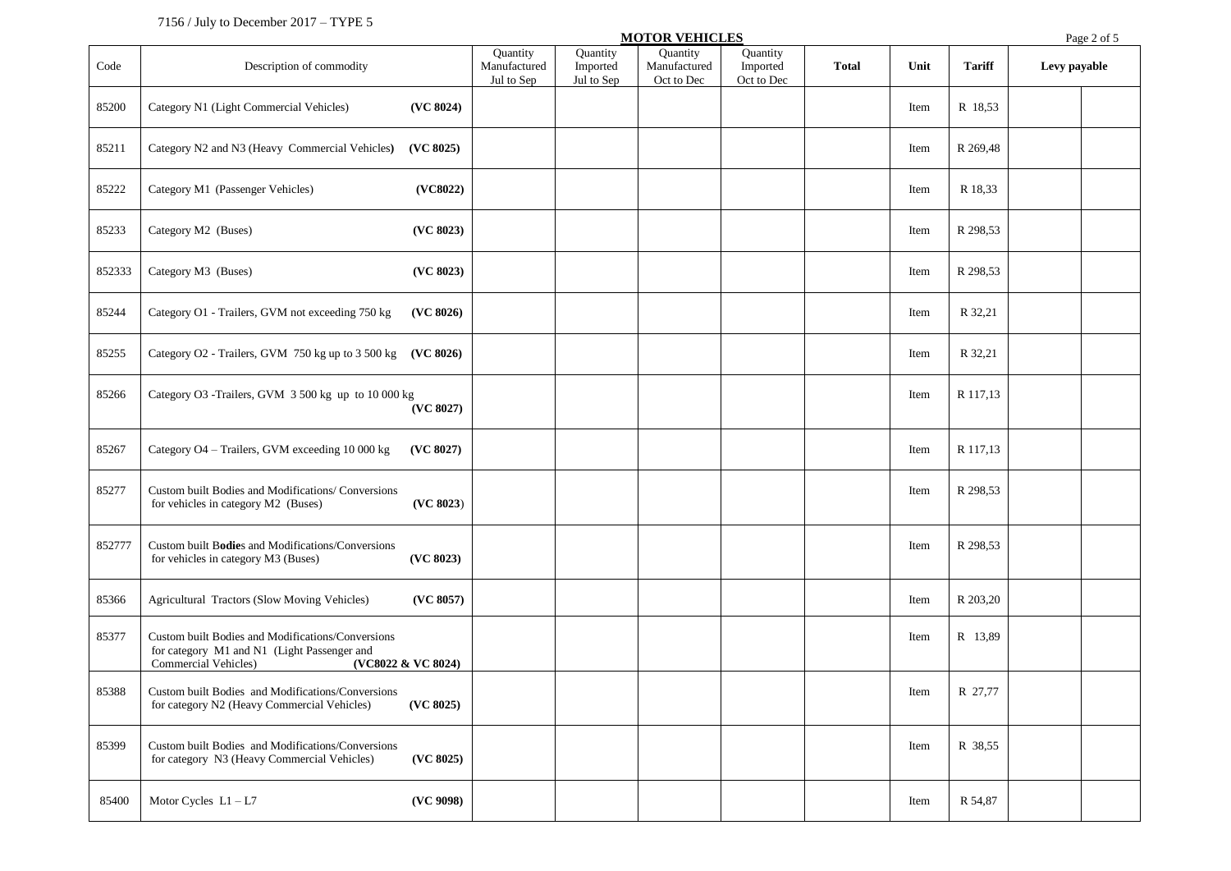## 7156 / July to December 2017 – TYPE 5

| Quantity<br>Quantity<br>Quantity<br>Quantity<br><b>Tariff</b><br>Code<br>Description of commodity<br>Manufactured<br>Imported<br>Manufactured<br>Imported<br><b>Total</b><br>Unit<br>Levy payable<br>Jul to Sep<br>Jul to Sep<br>Oct to Dec<br>Oct to Dec<br>(VC 8024)<br>85200<br>Category N1 (Light Commercial Vehicles)<br>R 18,53<br>Item<br>85211<br>Category N2 and N3 (Heavy Commercial Vehicles)<br>(VC 8025)<br>R 269,48<br>Item<br>85222<br>Category M1 (Passenger Vehicles)<br>(VC8022)<br>R 18,33<br>Item<br>(VC 8023)<br>85233<br>Category M2 (Buses)<br>R 298,53<br>Item<br>852333<br>Category M3 (Buses)<br>(VC 8023)<br>R 298,53<br>Item<br>85244<br>Category O1 - Trailers, GVM not exceeding 750 kg<br>(VC 8026)<br>R 32,21<br>Item<br>85255<br>Category O2 - Trailers, GVM 750 kg up to 3 500 kg (VC 8026)<br>R 32,21<br>Item<br>85266<br>Category O3 -Trailers, GVM 3 500 kg up to 10 000 kg<br>R 117,13<br>Item<br>(VC 8027)<br>85267<br>Category O4 - Trailers, GVM exceeding 10 000 kg<br>(VC 8027)<br>R 117,13<br>Item<br>85277<br>Custom built Bodies and Modifications/ Conversions<br>R 298,53<br>Item<br>(VC 8023)<br>for vehicles in category M2 (Buses)<br>Custom built Bodies and Modifications/Conversions<br>852777<br>R 298,53<br>Item<br>(VC 8023)<br>for vehicles in category M3 (Buses)<br>85366<br>Agricultural Tractors (Slow Moving Vehicles)<br>(VC 8057)<br>R 203,20<br>Item<br>85377<br>Custom built Bodies and Modifications/Conversions<br>R 13,89<br>Item<br>for category M1 and N1 (Light Passenger and<br>Commercial Vehicles)<br>(VC8022 & VC 8024)<br>Custom built Bodies and Modifications/Conversions<br>85388<br>Item<br>R 27,77<br>(VC 8025)<br>for category N2 (Heavy Commercial Vehicles)<br>85399<br>Custom built Bodies and Modifications/Conversions<br>R 38,55<br>Item<br>for category N3 (Heavy Commercial Vehicles)<br>(VC 8025)<br>85400<br>(VC 9098)<br>Motor Cycles $L1 - L7$<br>R 54,87<br>Item |  |  | <b>MOTOR VEHICLES</b> |  |  | Page 2 of 5 |  |
|-------------------------------------------------------------------------------------------------------------------------------------------------------------------------------------------------------------------------------------------------------------------------------------------------------------------------------------------------------------------------------------------------------------------------------------------------------------------------------------------------------------------------------------------------------------------------------------------------------------------------------------------------------------------------------------------------------------------------------------------------------------------------------------------------------------------------------------------------------------------------------------------------------------------------------------------------------------------------------------------------------------------------------------------------------------------------------------------------------------------------------------------------------------------------------------------------------------------------------------------------------------------------------------------------------------------------------------------------------------------------------------------------------------------------------------------------------------------------------------------------------------------------------------------------------------------------------------------------------------------------------------------------------------------------------------------------------------------------------------------------------------------------------------------------------------------------------------------------------------------------------------------------------------------------------------------------------------------|--|--|-----------------------|--|--|-------------|--|
|                                                                                                                                                                                                                                                                                                                                                                                                                                                                                                                                                                                                                                                                                                                                                                                                                                                                                                                                                                                                                                                                                                                                                                                                                                                                                                                                                                                                                                                                                                                                                                                                                                                                                                                                                                                                                                                                                                                                                                   |  |  |                       |  |  |             |  |
|                                                                                                                                                                                                                                                                                                                                                                                                                                                                                                                                                                                                                                                                                                                                                                                                                                                                                                                                                                                                                                                                                                                                                                                                                                                                                                                                                                                                                                                                                                                                                                                                                                                                                                                                                                                                                                                                                                                                                                   |  |  |                       |  |  |             |  |
|                                                                                                                                                                                                                                                                                                                                                                                                                                                                                                                                                                                                                                                                                                                                                                                                                                                                                                                                                                                                                                                                                                                                                                                                                                                                                                                                                                                                                                                                                                                                                                                                                                                                                                                                                                                                                                                                                                                                                                   |  |  |                       |  |  |             |  |
|                                                                                                                                                                                                                                                                                                                                                                                                                                                                                                                                                                                                                                                                                                                                                                                                                                                                                                                                                                                                                                                                                                                                                                                                                                                                                                                                                                                                                                                                                                                                                                                                                                                                                                                                                                                                                                                                                                                                                                   |  |  |                       |  |  |             |  |
|                                                                                                                                                                                                                                                                                                                                                                                                                                                                                                                                                                                                                                                                                                                                                                                                                                                                                                                                                                                                                                                                                                                                                                                                                                                                                                                                                                                                                                                                                                                                                                                                                                                                                                                                                                                                                                                                                                                                                                   |  |  |                       |  |  |             |  |
|                                                                                                                                                                                                                                                                                                                                                                                                                                                                                                                                                                                                                                                                                                                                                                                                                                                                                                                                                                                                                                                                                                                                                                                                                                                                                                                                                                                                                                                                                                                                                                                                                                                                                                                                                                                                                                                                                                                                                                   |  |  |                       |  |  |             |  |
|                                                                                                                                                                                                                                                                                                                                                                                                                                                                                                                                                                                                                                                                                                                                                                                                                                                                                                                                                                                                                                                                                                                                                                                                                                                                                                                                                                                                                                                                                                                                                                                                                                                                                                                                                                                                                                                                                                                                                                   |  |  |                       |  |  |             |  |
|                                                                                                                                                                                                                                                                                                                                                                                                                                                                                                                                                                                                                                                                                                                                                                                                                                                                                                                                                                                                                                                                                                                                                                                                                                                                                                                                                                                                                                                                                                                                                                                                                                                                                                                                                                                                                                                                                                                                                                   |  |  |                       |  |  |             |  |
|                                                                                                                                                                                                                                                                                                                                                                                                                                                                                                                                                                                                                                                                                                                                                                                                                                                                                                                                                                                                                                                                                                                                                                                                                                                                                                                                                                                                                                                                                                                                                                                                                                                                                                                                                                                                                                                                                                                                                                   |  |  |                       |  |  |             |  |
|                                                                                                                                                                                                                                                                                                                                                                                                                                                                                                                                                                                                                                                                                                                                                                                                                                                                                                                                                                                                                                                                                                                                                                                                                                                                                                                                                                                                                                                                                                                                                                                                                                                                                                                                                                                                                                                                                                                                                                   |  |  |                       |  |  |             |  |
|                                                                                                                                                                                                                                                                                                                                                                                                                                                                                                                                                                                                                                                                                                                                                                                                                                                                                                                                                                                                                                                                                                                                                                                                                                                                                                                                                                                                                                                                                                                                                                                                                                                                                                                                                                                                                                                                                                                                                                   |  |  |                       |  |  |             |  |
|                                                                                                                                                                                                                                                                                                                                                                                                                                                                                                                                                                                                                                                                                                                                                                                                                                                                                                                                                                                                                                                                                                                                                                                                                                                                                                                                                                                                                                                                                                                                                                                                                                                                                                                                                                                                                                                                                                                                                                   |  |  |                       |  |  |             |  |
|                                                                                                                                                                                                                                                                                                                                                                                                                                                                                                                                                                                                                                                                                                                                                                                                                                                                                                                                                                                                                                                                                                                                                                                                                                                                                                                                                                                                                                                                                                                                                                                                                                                                                                                                                                                                                                                                                                                                                                   |  |  |                       |  |  |             |  |
|                                                                                                                                                                                                                                                                                                                                                                                                                                                                                                                                                                                                                                                                                                                                                                                                                                                                                                                                                                                                                                                                                                                                                                                                                                                                                                                                                                                                                                                                                                                                                                                                                                                                                                                                                                                                                                                                                                                                                                   |  |  |                       |  |  |             |  |
|                                                                                                                                                                                                                                                                                                                                                                                                                                                                                                                                                                                                                                                                                                                                                                                                                                                                                                                                                                                                                                                                                                                                                                                                                                                                                                                                                                                                                                                                                                                                                                                                                                                                                                                                                                                                                                                                                                                                                                   |  |  |                       |  |  |             |  |
|                                                                                                                                                                                                                                                                                                                                                                                                                                                                                                                                                                                                                                                                                                                                                                                                                                                                                                                                                                                                                                                                                                                                                                                                                                                                                                                                                                                                                                                                                                                                                                                                                                                                                                                                                                                                                                                                                                                                                                   |  |  |                       |  |  |             |  |
|                                                                                                                                                                                                                                                                                                                                                                                                                                                                                                                                                                                                                                                                                                                                                                                                                                                                                                                                                                                                                                                                                                                                                                                                                                                                                                                                                                                                                                                                                                                                                                                                                                                                                                                                                                                                                                                                                                                                                                   |  |  |                       |  |  |             |  |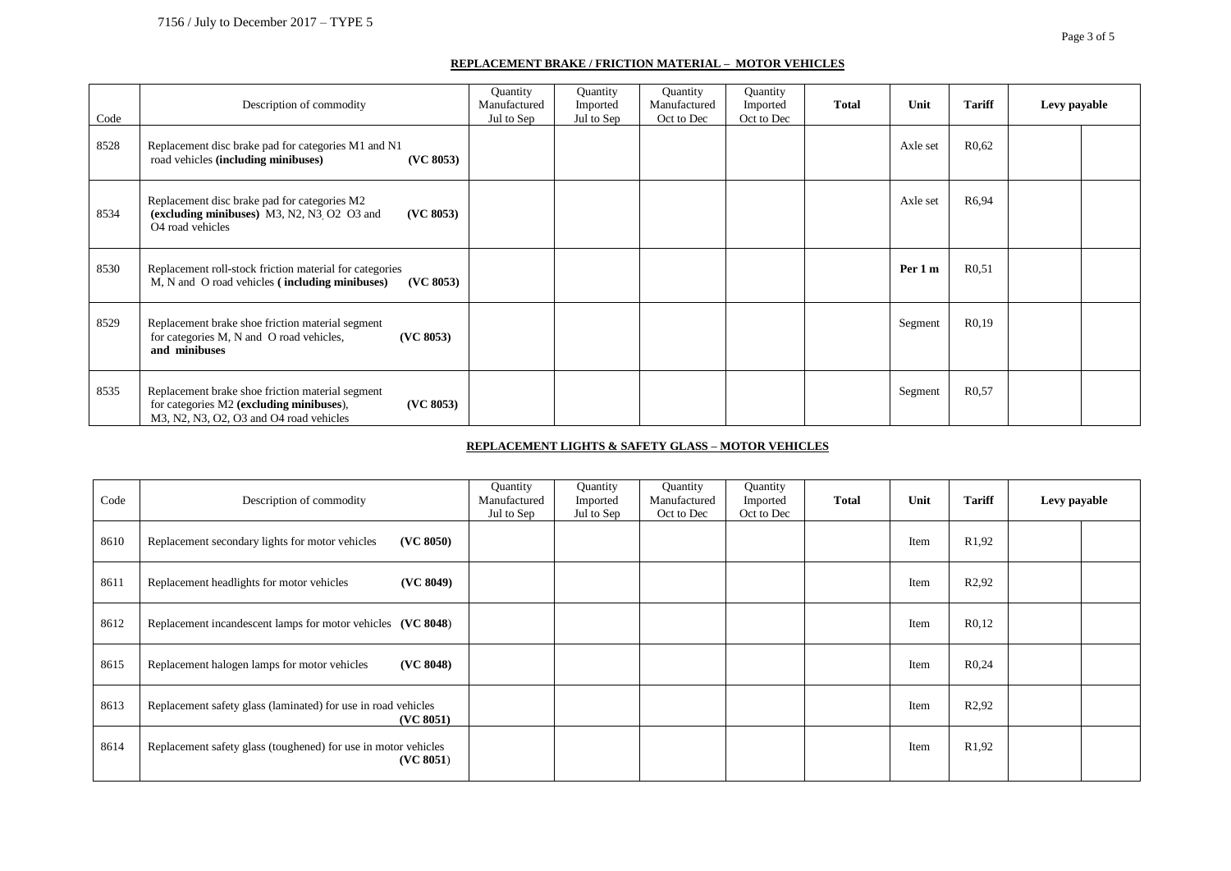#### **REPLACEMENT BRAKE / FRICTION MATERIAL – MOTOR VEHICLES**

| Code | Description of commodity                                                                                                                             | Quantity<br>Manufactured<br>Jul to Sep | Quantity<br>Imported<br>Jul to Sep | Quantity<br>Manufactured<br>Oct to Dec | Quantity<br>Imported<br>Oct to Dec | <b>Total</b> | Unit     | <b>Tariff</b>      | Levy payable |  |
|------|------------------------------------------------------------------------------------------------------------------------------------------------------|----------------------------------------|------------------------------------|----------------------------------------|------------------------------------|--------------|----------|--------------------|--------------|--|
| 8528 | Replacement disc brake pad for categories M1 and N1<br>road vehicles (including minibuses)<br>(VC 8053)                                              |                                        |                                    |                                        |                                    |              | Axle set | R <sub>0</sub> .62 |              |  |
| 8534 | Replacement disc brake pad for categories M2<br>(excluding minibuses) M3, N2, N3, O2 O3 and<br>(VC 8053)<br>O <sub>4</sub> road vehicles             |                                        |                                    |                                        |                                    |              | Axle set | R6,94              |              |  |
| 8530 | Replacement roll-stock friction material for categories<br>M, N and O road vehicles (including minibuses)<br>(VC 8053)                               |                                        |                                    |                                        |                                    |              | Per 1 m  | R0,51              |              |  |
| 8529 | Replacement brake shoe friction material segment<br>for categories M, N and O road vehicles,<br>(VC 8053)<br>and minibuses                           |                                        |                                    |                                        |                                    |              | Segment  | R <sub>0.19</sub>  |              |  |
| 8535 | Replacement brake shoe friction material segment<br>for categories M2 (excluding minibuses),<br>(VC 8053)<br>M3, N2, N3, O2, O3 and O4 road vehicles |                                        |                                    |                                        |                                    |              | Segment  | R <sub>0</sub> .57 |              |  |

#### **REPLACEMENT LIGHTS & SAFETY GLASS – MOTOR VEHICLES**

| Code | Description of commodity                                                    | Quantity<br>Manufactured<br>Jul to Sep | Quantity<br>Imported<br>Jul to Sep | Quantity<br>Manufactured<br>Oct to Dec | Quantity<br>Imported<br>Oct to Dec | <b>Total</b> | Unit | <b>Tariff</b>      | Levy payable |  |
|------|-----------------------------------------------------------------------------|----------------------------------------|------------------------------------|----------------------------------------|------------------------------------|--------------|------|--------------------|--------------|--|
| 8610 | (VC 8050)<br>Replacement secondary lights for motor vehicles                |                                        |                                    |                                        |                                    |              | Item | R <sub>1</sub> ,92 |              |  |
| 8611 | (VC 8049)<br>Replacement headlights for motor vehicles                      |                                        |                                    |                                        |                                    |              | Item | R <sub>2</sub> ,92 |              |  |
| 8612 | Replacement incandescent lamps for motor vehicles (VC 8048)                 |                                        |                                    |                                        |                                    |              | Item | R <sub>0,12</sub>  |              |  |
| 8615 | (VC 8048)<br>Replacement halogen lamps for motor vehicles                   |                                        |                                    |                                        |                                    |              | Item | R <sub>0,24</sub>  |              |  |
| 8613 | Replacement safety glass (laminated) for use in road vehicles<br>(VC 8051)  |                                        |                                    |                                        |                                    |              | Item | R <sub>2</sub> ,92 |              |  |
| 8614 | Replacement safety glass (toughened) for use in motor vehicles<br>(VC 8051) |                                        |                                    |                                        |                                    |              | Item | R <sub>1</sub> ,92 |              |  |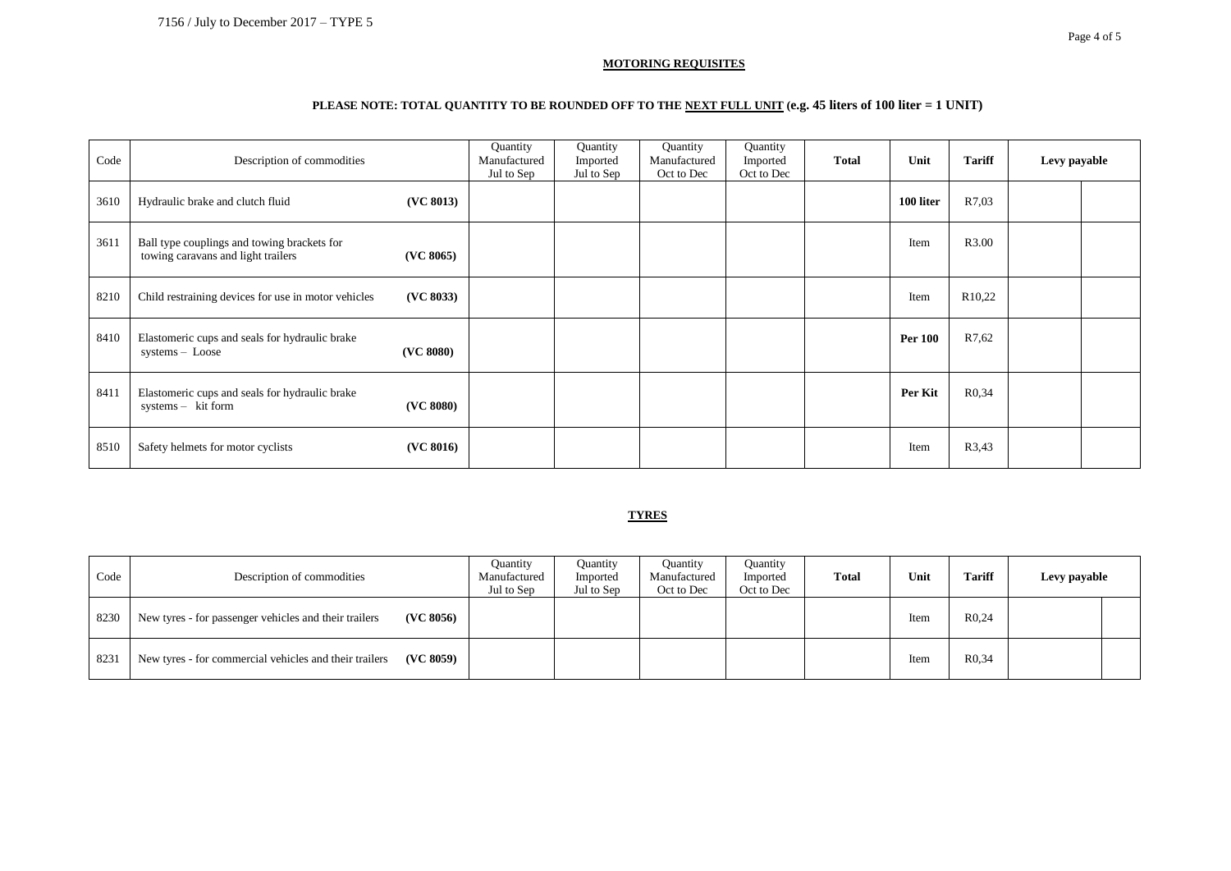#### **MOTORING REQUISITES**

## **PLEASE NOTE: TOTAL QUANTITY TO BE ROUNDED OFF TO THE NEXT FULL UNIT (e.g. 45 liters of 100 liter = 1 UNIT)**

| Code | Description of commodities                                                                     | Quantity<br>Manufactured<br>Jul to Sep | Quantity<br>Imported<br>Jul to Sep | Quantity<br>Manufactured<br>Oct to Dec | Quantity<br>Imported<br>Oct to Dec | <b>Total</b> | Unit           | <b>Tariff</b>       | Levy payable |  |
|------|------------------------------------------------------------------------------------------------|----------------------------------------|------------------------------------|----------------------------------------|------------------------------------|--------------|----------------|---------------------|--------------|--|
| 3610 | (VC 8013)<br>Hydraulic brake and clutch fluid                                                  |                                        |                                    |                                        |                                    |              | 100 liter      | R7,03               |              |  |
| 3611 | Ball type couplings and towing brackets for<br>towing caravans and light trailers<br>(VC 8065) |                                        |                                    |                                        |                                    |              | Item           | R3.00               |              |  |
| 8210 | Child restraining devices for use in motor vehicles<br>(VC 8033)                               |                                        |                                    |                                        |                                    |              | Item           | R <sub>10</sub> ,22 |              |  |
| 8410 | Elastomeric cups and seals for hydraulic brake<br>(VC 8080)<br>systems - Loose                 |                                        |                                    |                                        |                                    |              | <b>Per 100</b> | R7,62               |              |  |
| 8411 | Elastomeric cups and seals for hydraulic brake<br>systems - kit form<br>(VC 8080)              |                                        |                                    |                                        |                                    |              | Per Kit        | R <sub>0</sub> .34  |              |  |
| 8510 | (VC 8016)<br>Safety helmets for motor cyclists                                                 |                                        |                                    |                                        |                                    |              | Item           | R3,43               |              |  |

#### **TYRES**

| Code | Description of commodities                                          | Ouantity<br>Manufactured<br>Jul to Sep | Quantity<br>Imported<br>Jul to Sep | Quantity<br>Manufactured<br>Oct to Dec | Quantity<br>Imported<br>Oct to Dec | Total | Unit | <b>Tariff</b>      | Levy payable |  |
|------|---------------------------------------------------------------------|----------------------------------------|------------------------------------|----------------------------------------|------------------------------------|-------|------|--------------------|--------------|--|
| 8230 | New tyres - for passenger vehicles and their trailers<br>(VC 8056)  |                                        |                                    |                                        |                                    |       | Item | R0.24              |              |  |
| 8231 | (VC 8059)<br>New tyres - for commercial vehicles and their trailers |                                        |                                    |                                        |                                    |       | Item | R <sub>0</sub> .34 |              |  |